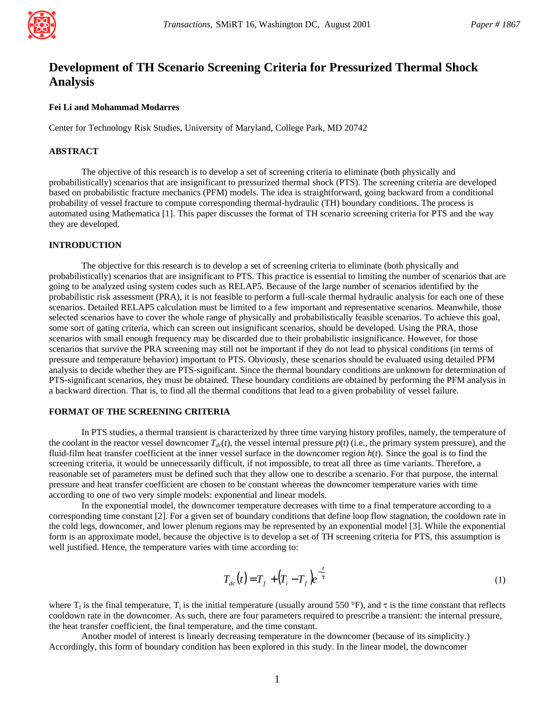

# **Development of TH Scenario Screening Criteria for Pressurized Thermal Shock Analysis**

## **Fei Li and Mohammad Modarres**

Center for Technology Risk Studies, University of Maryland, College Park, MD 20742

# **ABSTRACT**

The objective of this research is to develop a set of screening criteria to eliminate (both physically and probabilistically) scenarios that are insignificant to pressurized thermal shock (PTS). The screening criteria are developed based on probabilistic fracture mechanics (PFM) models. The idea is straightforward, going backward from a conditional probability of vessel fracture to compute corresponding thermal-hydraulic (TH) boundary conditions. The process is automated using Mathematica [1]. This paper discusses the format of TH scenario screening criteria for PTS and the way they are developed.

# **INTRODUCTION**

The objective for this research is to develop a set of screening criteria to eliminate (both physically and probabilistically) scenarios that are insignificant to PTS. This practice is essential to limiting the number of scenarios that are going to be analyzed using system codes such as RELAP5. Because of the large number of scenarios identified by the probabilistic risk assessment (PRA), it is not feasible to perform a full-scale thermal hydraulic analysis for each one of these scenarios. Detailed RELAP5 calculation must be limited to a few important and representative scenarios. Meanwhile, those selected scenarios have to cover the whole range of physically and probabilistically feasible scenarios. To achieve this goal, some sort of gating criteria, which can screen out insignificant scenarios, should be developed. Using the PRA, those scenarios with small enough frequency may be discarded due to their probabilistic insignificance. However, for those scenarios that survive the PRA screening may still not be important if they do not lead to physical conditions (in terms of pressure and temperature behavior) important to PTS. Obviously, these scenarios should be evaluated using detailed PFM analysis to decide whether they are PTS-significant. Since the thermal boundary conditions are unknown for determination of PTS-significant scenarios, they must be obtained. These boundary conditions are obtained by performing the PFM analysis in a backward direction. That is, to find all the thermal conditions that lead to a given probability of vessel failure.

## **FORMAT OF THE SCREENING CRITERIA**

In PTS studies, a thermal transient is characterized by three time varying history profiles, namely, the temperature of the coolant in the reactor vessel downcomer  $T_{dc}(t)$ , the vessel internal pressure  $p(t)$  (i.e., the primary system pressure), and the fluid-film heat transfer coefficient at the inner vessel surface in the downcomer region *h*(*t*). Since the goal is to find the screening criteria, it would be unnecessarily difficult, if not impossible, to treat all three as time variants. Therefore, a reasonable set of parameters must be defined such that they allow one to describe a scenario. For that purpose, the internal pressure and heat transfer coefficient are chosen to be constant whereas the downcomer temperature varies with time according to one of two very simple models: exponential and linear models.

In the exponential model, the downcomer temperature decreases with time to a final temperature according to a corresponding time constant [2]. For a given set of boundary conditions that define loop flow stagnation, the cooldown rate in the cold legs, downcomer, and lower plenum regions may be represented by an exponential model [3]. While the exponential form is an approximate model, because the objective is to develop a set of TH screening criteria for PTS, this assumption is well justified. Hence, the temperature varies with time according to:

$$
T_{dc}(t) = T_f + (T_i - T_f)e^{-\frac{t}{t}}
$$
 (1)

where  $T_f$  is the final temperature,  $T_i$  is the initial temperature (usually around 550 °F), and  $\tau$  is the time constant that reflects cooldown rate in the downcomer. As such, there are four parameters required to prescribe a transient: the internal pressure, the heat transfer coefficient, the final temperature, and the time constant.

Another model of interest is linearly decreasing temperature in the downcomer (because of its simplicity.) Accordingly, this form of boundary condition has been explored in this study. In the linear model, the downcomer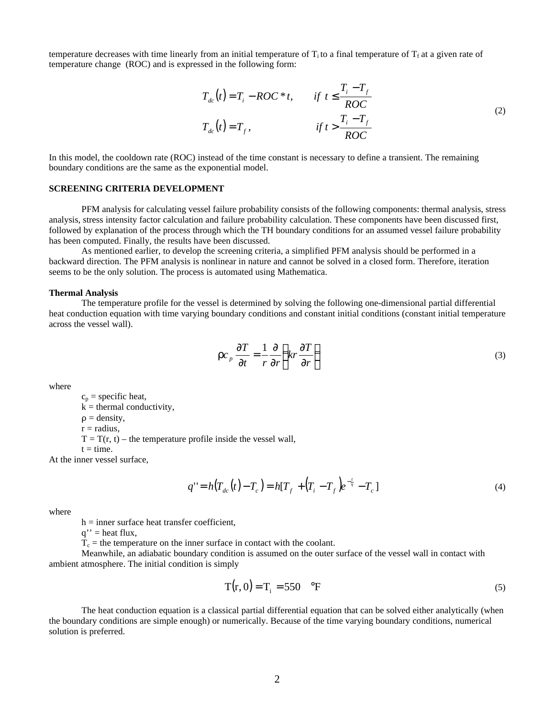temperature decreases with time linearly from an initial temperature of  $T_i$  to a final temperature of  $T_f$  at a given rate of temperature change (ROC) and is expressed in the following form:

$$
T_{dc}(t) = T_i - ROC^*t, \qquad \text{if } t \le \frac{T_i - T_f}{ROC}
$$
  

$$
T_{dc}(t) = T_f, \qquad \qquad \text{if } t > \frac{T_i - T_f}{ROC}
$$
 (2)

In this model, the cooldown rate (ROC) instead of the time constant is necessary to define a transient. The remaining boundary conditions are the same as the exponential model.

# **SCREENING CRITERIA DEVELOPMENT**

PFM analysis for calculating vessel failure probability consists of the following components: thermal analysis, stress analysis, stress intensity factor calculation and failure probability calculation. These components have been discussed first, followed by explanation of the process through which the TH boundary conditions for an assumed vessel failure probability has been computed. Finally, the results have been discussed.

As mentioned earlier, to develop the screening criteria, a simplified PFM analysis should be performed in a backward direction. The PFM analysis is nonlinear in nature and cannot be solved in a closed form. Therefore, iteration seems to be the only solution. The process is automated using Mathematica.

#### **Thermal Analysis**

The temperature profile for the vessel is determined by solving the following one-dimensional partial differential heat conduction equation with time varying boundary conditions and constant initial conditions (constant initial temperature across the vessel wall).

$$
r c_p \frac{\partial T}{\partial t} = \frac{1}{r} \frac{\partial}{\partial r} \left( kr \frac{\partial T}{\partial r} \right)
$$
 (3)

where

 $c_p$  = specific heat,  $k =$  thermal conductivity,  $\rho =$  density,  $r =$  radius,  $T = T(r, t)$  – the temperature profile inside the vessel wall,  $t = time.$ At the inner vessel surface,

$$
q'' = h(T_{dc}(t) - T_c) = h[T_f + (T_i - T_f)e^{-\frac{t}{t}} - T_c]
$$
\n(4)

where

 $h =$  inner surface heat transfer coefficient,

 $q''$  = heat flux,

 $T_c$  = the temperature on the inner surface in contact with the coolant.

Meanwhile, an adiabatic boundary condition is assumed on the outer surface of the vessel wall in contact with ambient atmosphere. The initial condition is simply

$$
T(r, 0) = Ti = 550 \text{ °F}
$$
 (5)

The heat conduction equation is a classical partial differential equation that can be solved either analytically (when the boundary conditions are simple enough) or numerically. Because of the time varying boundary conditions, numerical solution is preferred.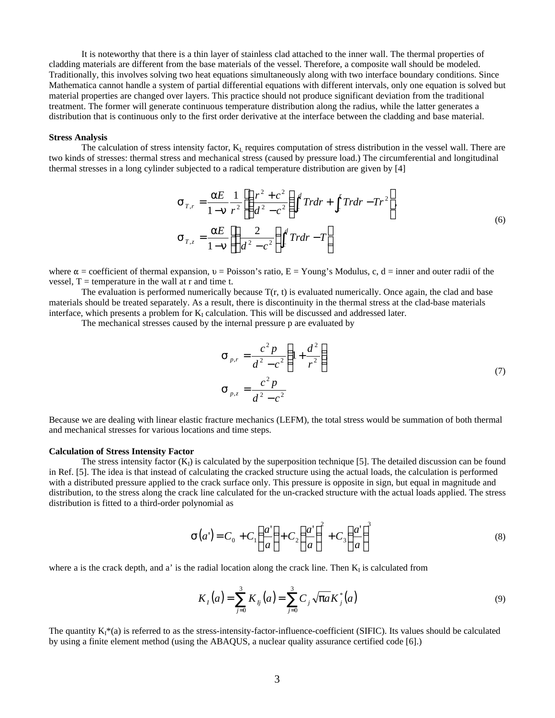It is noteworthy that there is a thin layer of stainless clad attached to the inner wall. The thermal properties of cladding materials are different from the base materials of the vessel. Therefore, a composite wall should be modeled. Traditionally, this involves solving two heat equations simultaneously along with two interface boundary conditions. Since Mathematica cannot handle a system of partial differential equations with different intervals, only one equation is solved but material properties are changed over layers. This practice should not produce significant deviation from the traditional treatment. The former will generate continuous temperature distribution along the radius, while the latter generates a distribution that is continuous only to the first order derivative at the interface between the cladding and base material.

#### **Stress Analysis**

The calculation of stress intensity factor,  $K<sub>L</sub>$  requires computation of stress distribution in the vessel wall. There are two kinds of stresses: thermal stress and mechanical stress (caused by pressure load.) The circumferential and longitudinal thermal stresses in a long cylinder subjected to a radical temperature distribution are given by [4]

$$
\mathbf{S}_{T,r} = \frac{\mathbf{a}E}{1-\mathbf{n}} \frac{1}{r^2} \left[ \left( \frac{r^2 + c^2}{d^2 - c^2} \right) \int_c^d T r dr + \int_c^r T r dr - Tr^2 \right],
$$
\n
$$
\mathbf{S}_{T,z} = \frac{\mathbf{a}E}{1-\mathbf{n}} \left[ \left( \frac{2}{d^2 - c^2} \right) \int_c^d T r dr - T \right]
$$
\n(6)

where  $\alpha$  = coefficient of thermal expansion, v = Poisson's ratio, E = Young's Modulus, c, d = inner and outer radii of the vessel,  $T =$  temperature in the wall at r and time t.

The evaluation is performed numerically because  $T(r, t)$  is evaluated numerically. Once again, the clad and base materials should be treated separately. As a result, there is discontinuity in the thermal stress at the clad-base materials interface, which presents a problem for  $K_I$  calculation. This will be discussed and addressed later.

The mechanical stresses caused by the internal pressure p are evaluated by

$$
\mathbf{S}_{p,r} = \frac{c^2 p}{d^2 - c^2} \left( 1 + \frac{d^2}{r^2} \right)
$$
  

$$
\mathbf{S}_{p,z} = \frac{c^2 p}{d^2 - c^2}
$$
 (7)

Because we are dealing with linear elastic fracture mechanics (LEFM), the total stress would be summation of both thermal and mechanical stresses for various locations and time steps.

## **Calculation of Stress Intensity Factor**

The stress intensity factor  $(K<sub>1</sub>)$  is calculated by the superposition technique [5]. The detailed discussion can be found in Ref. [5]. The idea is that instead of calculating the cracked structure using the actual loads, the calculation is performed with a distributed pressure applied to the crack surface only. This pressure is opposite in sign, but equal in magnitude and distribution, to the stress along the crack line calculated for the un-cracked structure with the actual loads applied. The stress distribution is fitted to a third-order polynomial as

$$
\mathbf{S}(a') = C_0 + C_1 \left(\frac{a'}{a}\right) + C_2 \left(\frac{a'}{a}\right)^2 + C_3 \left(\frac{a'}{a}\right)^3 \tag{8}
$$

where a is the crack depth, and a' is the radial location along the crack line. Then  $K_1$  is calculated from

$$
K_I(a) = \sum_{j=0}^{3} K_{Ij}(a) = \sum_{j=0}^{3} C_j \sqrt{pa} K_j^*(a)
$$
\n(9)

The quantity  $K_i^*(a)$  is referred to as the stress-intensity-factor-influence-coefficient (SIFIC). Its values should be calculated by using a finite element method (using the ABAQUS, a nuclear quality assurance certified code [6].)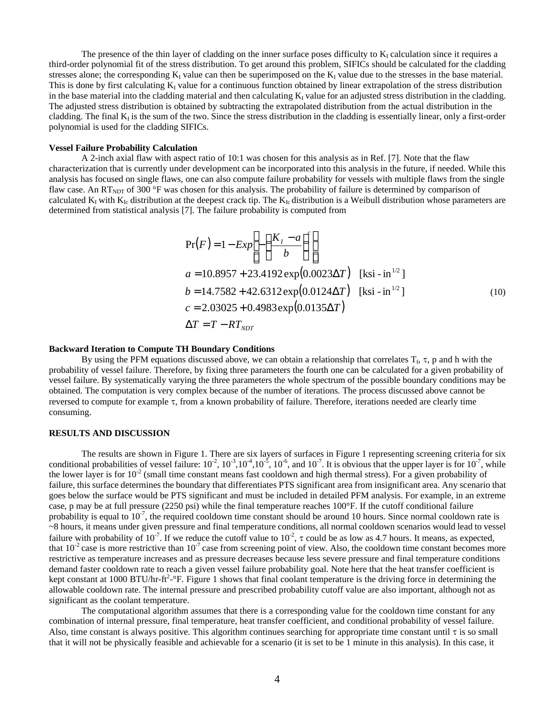The presence of the thin layer of cladding on the inner surface poses difficulty to  $K_I$  calculation since it requires a third-order polynomial fit of the stress distribution. To get around this problem, SIFICs should be calculated for the cladding stresses alone; the corresponding  $K_I$  value can then be superimposed on the  $K_I$  value due to the stresses in the base material. This is done by first calculating  $K_I$  value for a continuous function obtained by linear extrapolation of the stress distribution in the base material into the cladding material and then calculating  $K_I$  value for an adjusted stress distribution in the cladding. The adjusted stress distribution is obtained by subtracting the extrapolated distribution from the actual distribution in the cladding. The final  $K_I$  is the sum of the two. Since the stress distribution in the cladding is essentially linear, only a first-order polynomial is used for the cladding SIFICs.

#### **Vessel Failure Probability Calculation**

A 2-inch axial flaw with aspect ratio of 10:1 was chosen for this analysis as in Ref. [7]. Note that the flaw characterization that is currently under development can be incorporated into this analysis in the future, if needed. While this analysis has focused on single flaws, one can also compute failure probability for vessels with multiple flaws from the single flaw case. An  $RT_{NDT}$  of 300 °F was chosen for this analysis. The probability of failure is determined by comparison of calculated  $K_I$  with  $K_{Ic}$  distribution at the deepest crack tip. The  $K_{Ic}$  distribution is a Weibull distribution whose parameters are determined from statistical analysis [7]. The failure probability is computed from

$$
Pr(F) = 1 - Exp\left[-\left(\frac{K_I - a}{b}\right)^c\right]
$$
  
\n
$$
a = 10.8957 + 23.4192 \exp(0.0023\Delta T) \quad \text{[ksi - in}^{1/2}\text{]}
$$
  
\n
$$
b = 14.7582 + 42.6312 \exp(0.0124\Delta T) \quad \text{[ksi - in}^{1/2}\text{]}
$$
  
\n
$$
c = 2.03025 + 0.4983 \exp(0.0135\Delta T)
$$
  
\n
$$
\Delta T = T - RT_{NDT}
$$
 (10)

## **Backward Iteration to Compute TH Boundary Conditions**

By using the PFM equations discussed above, we can obtain a relationship that correlates  $T_f$ ,  $\tau$ ,  $p$  and  $h$  with the probability of vessel failure. Therefore, by fixing three parameters the fourth one can be calculated for a given probability of vessel failure. By systematically varying the three parameters the whole spectrum of the possible boundary conditions may be obtained. The computation is very complex because of the number of iterations. The process discussed above cannot be reversed to compute for example  $\tau$ , from a known probability of failure. Therefore, iterations needed are clearly time consuming.

#### **RESULTS AND DISCUSSION**

The results are shown in Figure 1. There are six layers of surfaces in Figure 1 representing screening criteria for six conditional probabilities of vessel failure:  $10^{-2}$ ,  $10^{-3}$ ,  $10^{-4}$ ,  $10^{-5}$ ,  $10^{-6}$ , and  $10^{-7}$ . It is obvious that the upper layer is for  $10^{-7}$ , while the lower layer is for  $10^{-2}$  (small time constant means fast cooldown and high thermal stress). For a given probability of failure, this surface determines the boundary that differentiates PTS significant area from insignificant area. Any scenario that goes below the surface would be PTS significant and must be included in detailed PFM analysis. For example, in an extreme case, p may be at full pressure (2250 psi) while the final temperature reaches  $100^{\circ}$ F. If the cutoff conditional failure probability is equal to  $10^{-7}$ , the required cooldown time constant should be around 10 hours. Since normal cooldown rate is ~8 hours, it means under given pressure and final temperature conditions, all normal cooldown scenarios would lead to vessel failure with probability of 10<sup>-7</sup>. If we reduce the cutoff value to 10<sup>-2</sup>,  $\tau$  could be as low as 4.7 hours. It means, as expected, that  $10^{-2}$  case is more restrictive than  $10^{-7}$  case from screening point of view. Also, the cooldown time constant becomes more restrictive as temperature increases and as pressure decreases because less severe pressure and final temperature conditions demand faster cooldown rate to reach a given vessel failure probability goal. Note here that the heat transfer coefficient is kept constant at 1000 BTU/hr-ft<sup>2</sup>-°F. Figure 1 shows that final coolant temperature is the driving force in determining the allowable cooldown rate. The internal pressure and prescribed probability cutoff value are also important, although not as significant as the coolant temperature.

The computational algorithm assumes that there is a corresponding value for the cooldown time constant for any combination of internal pressure, final temperature, heat transfer coefficient, and conditional probability of vessel failure. Also, time constant is always positive. This algorithm continues searching for appropriate time constant until  $\tau$  is so small that it will not be physically feasible and achievable for a scenario (it is set to be 1 minute in this analysis). In this case, it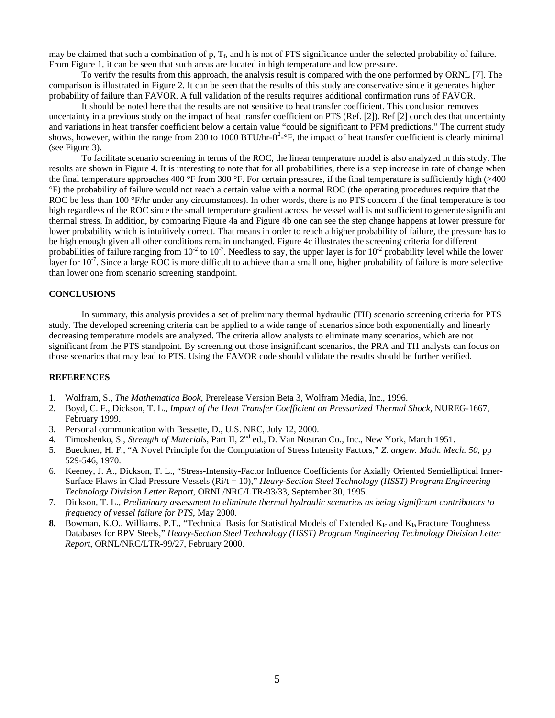may be claimed that such a combination of  $p$ ,  $T_f$ , and h is not of PTS significance under the selected probability of failure. From Figure 1, it can be seen that such areas are located in high temperature and low pressure.

To verify the results from this approach, the analysis result is compared with the one performed by ORNL [7]. The comparison is illustrated in Figure 2. It can be seen that the results of this study are conservative since it generates higher probability of failure than FAVOR. A full validation of the results requires additional confirmation runs of FAVOR.

It should be noted here that the results are not sensitive to heat transfer coefficient. This conclusion removes uncertainty in a previous study on the impact of heat transfer coefficient on PTS (Ref. [2]). Ref [2] concludes that uncertainty and variations in heat transfer coefficient below a certain value "could be significant to PFM predictions." The current study shows, however, within the range from 200 to 1000 BTU/hr-ft<sup>2</sup>- $\rm{°F}$ , the impact of heat transfer coefficient is clearly minimal (see Figure 3).

To facilitate scenario screening in terms of the ROC, the linear temperature model is also analyzed in this study. The results are shown in Figure 4. It is interesting to note that for all probabilities, there is a step increase in rate of change when the final temperature approaches 400 °F from 300 °F. For certain pressures, if the final temperature is sufficiently high ( $>400$ ) °F) the probability of failure would not reach a certain value with a normal ROC (the operating procedures require that the ROC be less than 100 °F/hr under any circumstances). In other words, there is no PTS concern if the final temperature is too high regardless of the ROC since the small temperature gradient across the vessel wall is not sufficient to generate significant thermal stress. In addition, by comparing Figure 4a and Figure 4b one can see the step change happens at lower pressure for lower probability which is intuitively correct. That means in order to reach a higher probability of failure, the pressure has to be high enough given all other conditions remain unchanged. Figure 4c illustrates the screening criteria for different probabilities of failure ranging from  $10^{-2}$  to  $10^{-7}$ . Needless to say, the upper layer is for  $10^{-2}$  probability level while the lower layer for  $10^{-7}$ . Since a large ROC is more difficult to achieve than a small one, higher probability of failure is more selective than lower one from scenario screening standpoint.

## **CONCLUSIONS**

In summary, this analysis provides a set of preliminary thermal hydraulic (TH) scenario screening criteria for PTS study. The developed screening criteria can be applied to a wide range of scenarios since both exponentially and linearly decreasing temperature models are analyzed. The criteria allow analysts to eliminate many scenarios, which are not significant from the PTS standpoint. By screening out those insignificant scenarios, the PRA and TH analysts can focus on those scenarios that may lead to PTS. Using the FAVOR code should validate the results should be further verified.

#### **REFERENCES**

- 1. Wolfram, S., *The Mathematica Book*, Prerelease Version Beta 3, Wolfram Media, Inc., 1996.
- 2. Boyd, C. F., Dickson, T. L., *Impact of the Heat Transfer Coefficient on Pressurized Thermal Shock*, NUREG-1667, February 1999.
- 3. Personal communication with Bessette, D., U.S. NRC, July 12, 2000.
- 4. Timoshenko, S., *Strength of Materials*, Part II, 2nd ed., D. Van Nostran Co., Inc., New York, March 1951.
- 5. Bueckner, H. F., "A Novel Principle for the Computation of Stress Intensity Factors," *Z. angew. Math. Mech. 50*, pp 529-546, 1970.
- 6. Keeney, J. A., Dickson, T. L., "Stress-Intensity-Factor Influence Coefficients for Axially Oriented Semielliptical Inner-Surface Flaws in Clad Pressure Vessels (Ri/t = 10)," *Heavy-Section Steel Technology (HSST) Program Engineering Technology Division Letter Report*, ORNL/NRC/LTR-93/33, September 30, 1995.
- 7. Dickson, T. L., *Preliminary assessment to eliminate thermal hydraulic scenarios as being significant contributors to frequency of vessel failure for PTS*, May 2000.
- **8.** Bowman, K.O., Williams, P.T., "Technical Basis for Statistical Models of Extended  $K_{Ic}$  and  $K_{Ia}$  Fracture Toughness Databases for RPV Steels," *Heavy-Section Steel Technology (HSST) Program Engineering Technology Division Letter Report*, ORNL/NRC/LTR-99/27, February 2000.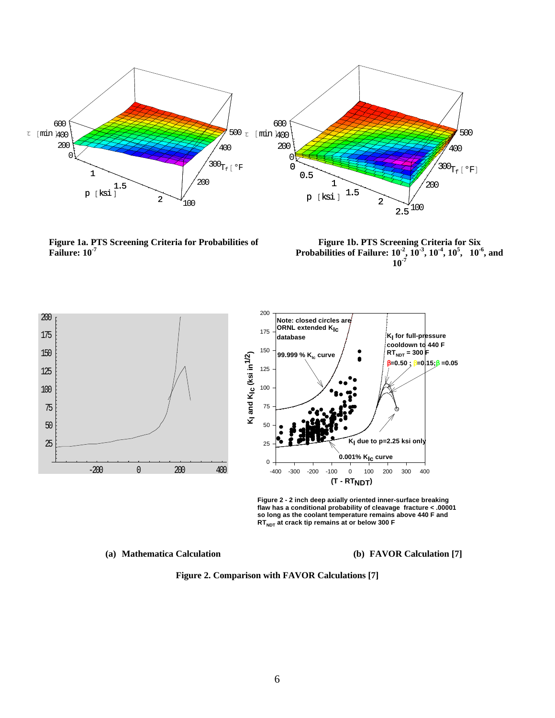

**Figure 1a. PTS Screening Criteria for Probabilities of Failure: 10-7**

**Figure 1b. PTS Screening Criteria for Six Probabilities of Failure:**  $10^{-2}$ ,  $10^{-3}$ ,  $10^{-4}$ ,  $10^{5}$ ,  $10^{-6}$ , and **10-7**



**Figure 2 - 2 inch deep axially oriented inner-surface breaking flaw has a conditional probability of cleavage fracture < .00001 so long as the coolant temperature remains above 440 F and RTNDT at crack tip remains at or below 300 F** 

**(a) Mathematica Calculation (b) FAVOR Calculation [7]**

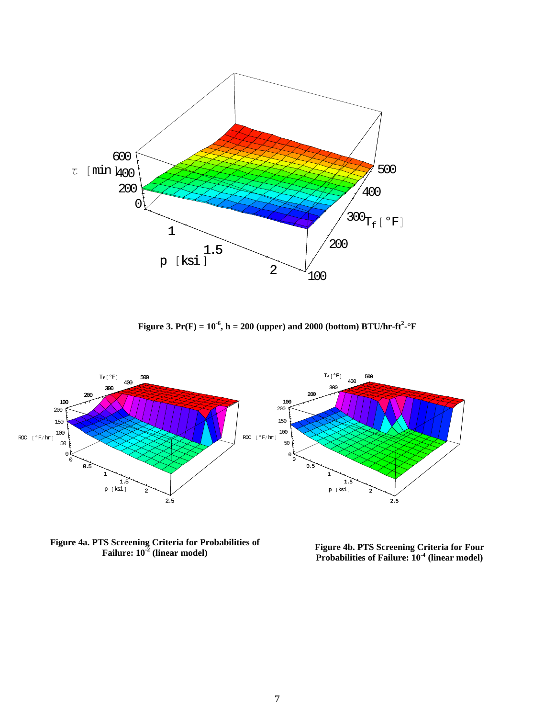

**Figure 3. Pr(F) =**  $10^{-6}$ **, h = 200 (upper) and 2000 (bottom) BTU/hr-ft<sup>2</sup>-°F** 



**Figure 4a. PTS Screening Criteria for Probabilities of Failure: 10-2**

**Figure 4b. PTS Screening Criteria for Four (linear model)**<br> **Probabilities of Failure: 10<sup>-4</sup> (linear model)**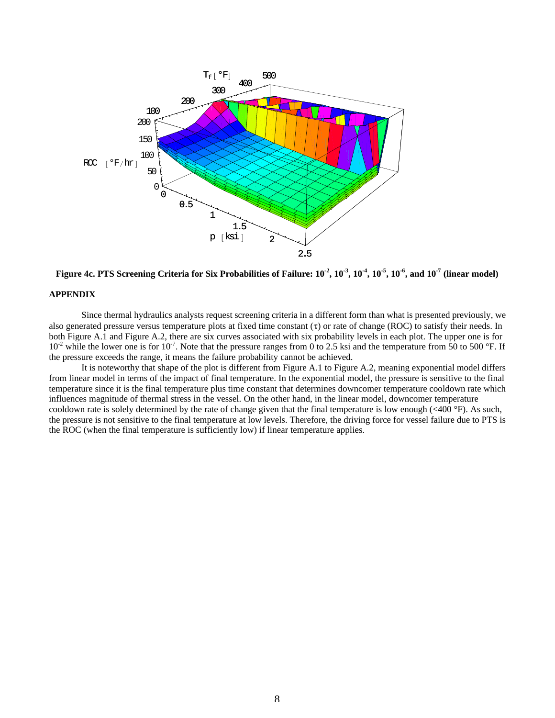



## **APPENDIX**

Since thermal hydraulics analysts request screening criteria in a different form than what is presented previously, we also generated pressure versus temperature plots at fixed time constant  $(\tau)$  or rate of change (ROC) to satisfy their needs. In both Figure A.1 and Figure A.2, there are six curves associated with six probability levels in each plot. The upper one is for  $10^{-2}$  while the lower one is for  $10^{-7}$ . Note that the pressure ranges from 0 to 2.5 ksi and the temperature from 50 to 500 °F. If the pressure exceeds the range, it means the failure probability cannot be achieved.

It is noteworthy that shape of the plot is different from Figure A.1 to Figure A.2, meaning exponential model differs from linear model in terms of the impact of final temperature. In the exponential model, the pressure is sensitive to the final temperature since it is the final temperature plus time constant that determines downcomer temperature cooldown rate which influences magnitude of thermal stress in the vessel. On the other hand, in the linear model, downcomer temperature cooldown rate is solely determined by the rate of change given that the final temperature is low enough  $( $400^\circ$ F). As such,$ the pressure is not sensitive to the final temperature at low levels. Therefore, the driving force for vessel failure due to PTS is the ROC (when the final temperature is sufficiently low) if linear temperature applies.